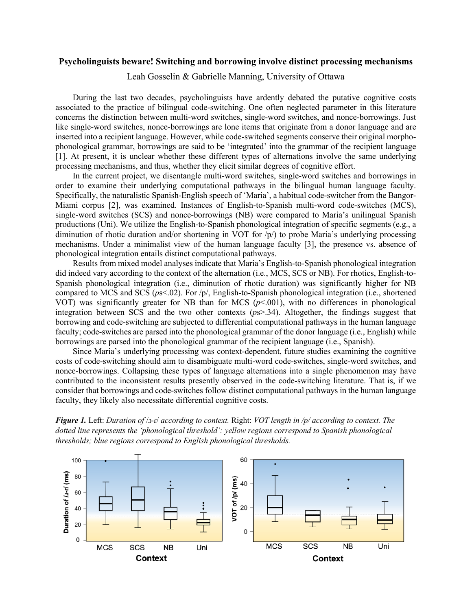## **Psycholinguists beware! Switching and borrowing involve distinct processing mechanisms**

Leah Gosselin & Gabrielle Manning, University of Ottawa

During the last two decades, psycholinguists have ardently debated the putative cognitive costs associated to the practice of bilingual code-switching. One often neglected parameter in this literature concerns the distinction between multi-word switches, single-word switches, and nonce-borrowings. Just like single-word switches, nonce-borrowings are lone items that originate from a donor language and are inserted into a recipient language. However, while code-switched segments conserve their original morphophonological grammar, borrowings are said to be 'integrated' into the grammar of the recipient language [1]. At present, it is unclear whether these different types of alternations involve the same underlying processing mechanisms, and thus, whether they elicit similar degrees of cognitive effort.

In the current project, we disentangle multi-word switches, single-word switches and borrowings in order to examine their underlying computational pathways in the bilingual human language faculty. Specifically, the naturalistic Spanish-English speech of 'Maria', a habitual code-switcher from the Bangor-Miami corpus [2], was examined. Instances of English-to-Spanish multi-word code-switches (MCS), single-word switches (SCS) and nonce-borrowings (NB) were compared to Maria's unilingual Spanish productions (Uni). We utilize the English-to-Spanish phonological integration of specific segments (e.g., a diminution of rhotic duration and/or shortening in VOT for  $/p/$  to probe Maria's underlying processing mechanisms. Under a minimalist view of the human language faculty [3], the presence vs. absence of phonological integration entails distinct computational pathways.

Results from mixed model analyses indicate that Maria's English-to-Spanish phonological integration did indeed vary according to the context of the alternation (i.e., MCS, SCS or NB). For rhotics, English-to-Spanish phonological integration (i.e., diminution of rhotic duration) was significantly higher for NB compared to MCS and SCS (*p*s<.02). For /p/, English-to-Spanish phonological integration (i.e., shortened VOT) was significantly greater for NB than for MCS (*p*<.001), with no differences in phonological integration between SCS and the two other contexts (*p*s>.34). Altogether, the findings suggest that borrowing and code-switching are subjected to differential computational pathways in the human language faculty; code-switches are parsed into the phonological grammar of the donor language (i.e., English) while borrowings are parsed into the phonological grammar of the recipient language (i.e., Spanish).

Since Maria's underlying processing was context-dependent, future studies examining the cognitive costs of code-switching should aim to disambiguate multi-word code-switches, single-word switches, and nonce-borrowings. Collapsing these types of language alternations into a single phenomenon may have contributed to the inconsistent results presently observed in the code-switching literature. That is, if we consider that borrowings and code-switches follow distinct computational pathways in the human language faculty, they likely also necessitate differential cognitive costs.

*Figure 1.* Left: *Duration of* /ɹ-ɾ/ *according to context.* Right: *VOT length in /p/ according to context. The dotted line represents the 'phonological threshold': yellow regions correspond to Spanish phonological thresholds; blue regions correspond to English phonological thresholds.*